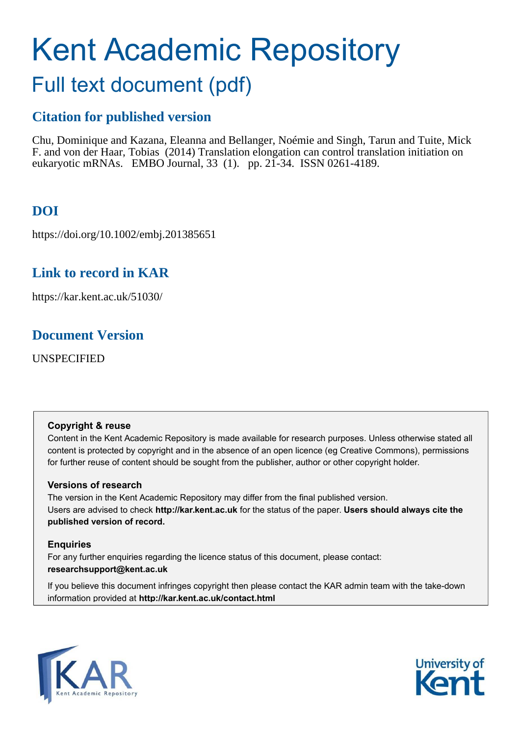# Kent Academic Repository

# Full text document (pdf)

# **Citation for published version**

Chu, Dominique and Kazana, Eleanna and Bellanger, Noémie and Singh, Tarun and Tuite, Mick F. and von der Haar, Tobias (2014) Translation elongation can control translation initiation on eukaryotic mRNAs. EMBO Journal, 33 (1). pp. 21-34. ISSN 0261-4189.

# **DOI**

https://doi.org/10.1002/embj.201385651

# **Link to record in KAR**

https://kar.kent.ac.uk/51030/

# **Document Version**

UNSPECIFIED

# **Copyright & reuse**

Content in the Kent Academic Repository is made available for research purposes. Unless otherwise stated all content is protected by copyright and in the absence of an open licence (eg Creative Commons), permissions for further reuse of content should be sought from the publisher, author or other copyright holder.

# **Versions of research**

The version in the Kent Academic Repository may differ from the final published version. Users are advised to check **http://kar.kent.ac.uk** for the status of the paper. **Users should always cite the published version of record.**

# **Enquiries**

For any further enquiries regarding the licence status of this document, please contact: **researchsupport@kent.ac.uk**

If you believe this document infringes copyright then please contact the KAR admin team with the take-down information provided at **http://kar.kent.ac.uk/contact.html**



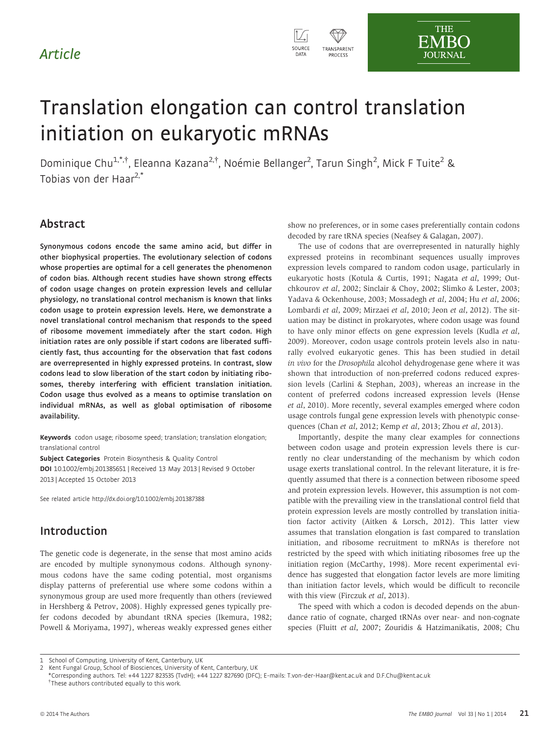

# Translation elongation can control translation initiation on eukaryotic mRNAs

Dominique Chu<sup>1,\*,†</sup>, Eleanna Kazana<sup>2,†</sup>, Noémie Bellanger<sup>2</sup>, Tarun Singh<sup>2</sup>, Mick F Tuite<sup>2</sup> & Tobias von der Haar2,\*

# Abstract

Synonymous codons encode the same amino acid, but differ in other biophysical properties. The evolutionary selection of codons whose properties are optimal for a cell generates the phenomenon of codon bias. Although recent studies have shown strong effects of codon usage changes on protein expression levels and cellular physiology, no translational control mechanism is known that links codon usage to protein expression levels. Here, we demonstrate a novel translational control mechanism that responds to the speed of ribosome movement immediately after the start codon. High initiation rates are only possible if start codons are liberated sufficiently fast, thus accounting for the observation that fast codons are overrepresented in highly expressed proteins. In contrast, slow codons lead to slow liberation of the start codon by initiating ribosomes, thereby interfering with efficient translation initiation. Codon usage thus evolved as a means to optimise translation on individual mRNAs, as well as global optimisation of ribosome availability.

Keywords codon usage; ribosome speed; translation; translation elongation; translational control

Subject Categories Protein Biosynthesis & Quality Control DOI 10.1002/embj.201385651 | Received 13 May 2013 | Revised 9 October 2013 | Accepted 15 October 2013

See related article http://dx.doi.org/10.1002/embj.201387388

# Introduction

The genetic code is degenerate, in the sense that most amino acids are encoded by multiple synonymous codons. Although synonymous codons have the same coding potential, most organisms display patterns of preferential use where some codons within a synonymous group are used more frequently than others (reviewed in Hershberg & Petrov, 2008). Highly expressed genes typically prefer codons decoded by abundant tRNA species (Ikemura, 1982; Powell & Moriyama, 1997), whereas weakly expressed genes either

show no preferences, or in some cases preferentially contain codons decoded by rare tRNA species (Neafsey & Galagan, 2007).

The use of codons that are overrepresented in naturally highly expressed proteins in recombinant sequences usually improves expression levels compared to random codon usage, particularly in eukaryotic hosts (Kotula & Curtis, 1991; Nagata *et al*, 1999; Outchkourov *et al*, 2002; Sinclair & Choy, 2002; Slimko & Lester, 2003; Yadava & Ockenhouse, 2003; Mossadegh *et al*, 2004; Hu *et al*, 2006; Lombardi *et al*, 2009; Mirzaei *et al*, 2010; Jeon *et al*, 2012). The situation may be distinct in prokaryotes, where codon usage was found to have only minor effects on gene expression levels (Kudla *et al*, 2009). Moreover, codon usage controls protein levels also in naturally evolved eukaryotic genes. This has been studied in detail *in vivo* for the *Drosophila* alcohol dehydrogenase gene where it was shown that introduction of non-preferred codons reduced expression levels (Carlini & Stephan, 2003), whereas an increase in the content of preferred codons increased expression levels (Hense *et al*, 2010). More recently, several examples emerged where codon usage controls fungal gene expression levels with phenotypic consequences (Chan *et al*, 2012; Kemp *et al*, 2013; Zhou *et al*, 2013).

Importantly, despite the many clear examples for connections between codon usage and protein expression levels there is currently no clear understanding of the mechanism by which codon usage exerts translational control. In the relevant literature, it is frequently assumed that there is a connection between ribosome speed and protein expression levels. However, this assumption is not compatible with the prevailing view in the translational control field that protein expression levels are mostly controlled by translation initiation factor activity (Aitken & Lorsch, 2012). This latter view assumes that translation elongation is fast compared to translation initiation, and ribosome recruitment to mRNAs is therefore not restricted by the speed with which initiating ribosomes free up the initiation region (McCarthy, 1998). More recent experimental evidence has suggested that elongation factor levels are more limiting than initiation factor levels, which would be difficult to reconcile with this view (Firczuk *et al*, 2013).

The speed with which a codon is decoded depends on the abundance ratio of cognate, charged tRNAs over near- and non-cognate species (Fluitt *et al*, 2007; Zouridis & Hatzimanikatis, 2008; Chu

<sup>1</sup> School of Computing, University of Kent, Canterbury, UK

Kent Fungal Group, School of Biosciences, University of Kent, Canterbury, UK

<sup>\*</sup>Corresponding authors. Tel: +44 1227 823535 (TvdH); +44 1227 827690 (DFC); E-mails: T.von-der-Haar@kent.ac.uk and D.F.Chu@kent.ac.uk † These authors contributed equally to this work.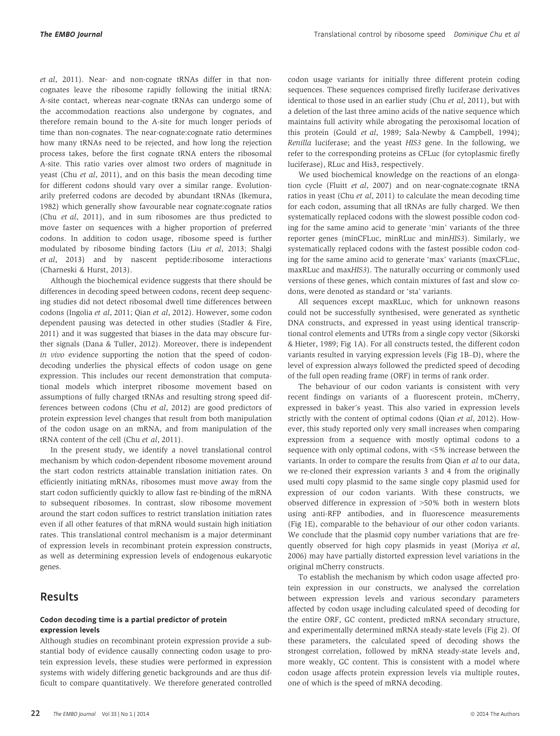*et al*, 2011). Near- and non-cognate tRNAs differ in that noncognates leave the ribosome rapidly following the initial tRNA: A-site contact, whereas near-cognate tRNAs can undergo some of the accommodation reactions also undergone by cognates, and therefore remain bound to the A-site for much longer periods of time than non-cognates. The near-cognate:cognate ratio determines how many tRNAs need to be rejected, and how long the rejection process takes, before the first cognate tRNA enters the ribosomal A-site. This ratio varies over almost two orders of magnitude in yeast (Chu *et al*, 2011), and on this basis the mean decoding time for different codons should vary over a similar range. Evolutionarily preferred codons are decoded by abundant tRNAs (Ikemura, 1982) which generally show favourable near cognate:cognate ratios (Chu *et al*, 2011), and in sum ribosomes are thus predicted to move faster on sequences with a higher proportion of preferred codons. In addition to codon usage, ribosome speed is further modulated by ribosome binding factors (Liu *et al*, 2013; Shalgi *et al*, 2013) and by nascent peptide:ribosome interactions (Charneski & Hurst, 2013).

Although the biochemical evidence suggests that there should be differences in decoding speed between codons, recent deep sequencing studies did not detect ribosomal dwell time differences between codons (Ingolia *et al*, 2011; Qian *et al*, 2012). However, some codon dependent pausing was detected in other studies (Stadler & Fire, 2011) and it was suggested that biases in the data may obscure further signals (Dana & Tuller, 2012). Moreover, there is independent *in vivo* evidence supporting the notion that the speed of codondecoding underlies the physical effects of codon usage on gene expression. This includes our recent demonstration that computational models which interpret ribosome movement based on assumptions of fully charged tRNAs and resulting strong speed differences between codons (Chu *et al*, 2012) are good predictors of protein expression level changes that result from both manipulation of the codon usage on an mRNA, and from manipulation of the tRNA content of the cell (Chu *et al*, 2011).

In the present study, we identify a novel translational control mechanism by which codon-dependent ribosome movement around the start codon restricts attainable translation initiation rates. On efficiently initiating mRNAs, ribosomes must move away from the start codon sufficiently quickly to allow fast re-binding of the mRNA to subsequent ribosomes. In contrast, slow ribosome movement around the start codon suffices to restrict translation initiation rates even if all other features of that mRNA would sustain high initiation rates. This translational control mechanism is a major determinant of expression levels in recombinant protein expression constructs, as well as determining expression levels of endogenous eukaryotic genes.

## Results

#### Codon decoding time is a partial predictor of protein expression levels

Although studies on recombinant protein expression provide a substantial body of evidence causally connecting codon usage to protein expression levels, these studies were performed in expression systems with widely differing genetic backgrounds and are thus difficult to compare quantitatively. We therefore generated controlled codon usage variants for initially three different protein coding sequences. These sequences comprised firefly luciferase derivatives identical to those used in an earlier study (Chu *et al*, 2011), but with a deletion of the last three amino acids of the native sequence which maintains full activity while abrogating the peroxisomal location of this protein (Gould *et al*, 1989; Sala-Newby & Campbell, 1994); *Renilla* luciferase; and the yeast *HIS3* gene. In the following, we refer to the corresponding proteins as CFLuc (for cytoplasmic firefly luciferase), RLuc and His3, respectively.

We used biochemical knowledge on the reactions of an elongation cycle (Fluitt *et al*, 2007) and on near-cognate:cognate tRNA ratios in yeast (Chu *et al*, 2011) to calculate the mean decoding time for each codon, assuming that all tRNAs are fully charged. We then systematically replaced codons with the slowest possible codon coding for the same amino acid to generate 'min' variants of the three reporter genes (minCFLuc, minRLuc and min*HIS3*). Similarly, we systematically replaced codons with the fastest possible codon coding for the same amino acid to generate 'max' variants (maxCFLuc, maxRLuc and max*HIS3*). The naturally occurring or commonly used versions of these genes, which contain mixtures of fast and slow codons, were denoted as standard or 'sta' variants.

All sequences except maxRLuc, which for unknown reasons could not be successfully synthesised, were generated as synthetic DNA constructs, and expressed in yeast using identical transcriptional control elements and UTRs from a single copy vector (Sikorski & Hieter, 1989; Fig 1A). For all constructs tested, the different codon variants resulted in varying expression levels (Fig 1B–D), where the level of expression always followed the predicted speed of decoding of the full open reading frame (ORF) in terms of rank order.

The behaviour of our codon variants is consistent with very recent findings on variants of a fluorescent protein, mCherry, expressed in baker's yeast. This also varied in expression levels strictly with the content of optimal codons (Qian *et al*, 2012). However, this study reported only very small increases when comparing expression from a sequence with mostly optimal codons to a sequence with only optimal codons, with <5% increase between the variants. In order to compare the results from Qian *et al* to our data, we re-cloned their expression variants 3 and 4 from the originally used multi copy plasmid to the same single copy plasmid used for expression of our codon variants. With these constructs, we observed difference in expression of >50% both in western blots using anti-RFP antibodies, and in fluorescence measurements (Fig 1E), comparable to the behaviour of our other codon variants. We conclude that the plasmid copy number variations that are frequently observed for high copy plasmids in yeast (Moriya *et al*, 2006) may have partially distorted expression level variations in the original mCherry constructs.

To establish the mechanism by which codon usage affected protein expression in our constructs, we analysed the correlation between expression levels and various secondary parameters affected by codon usage including calculated speed of decoding for the entire ORF, GC content, predicted mRNA secondary structure, and experimentally determined mRNA steady-state levels (Fig 2). Of these parameters, the calculated speed of decoding shows the strongest correlation, followed by mRNA steady-state levels and, more weakly, GC content. This is consistent with a model where codon usage affects protein expression levels via multiple routes, one of which is the speed of mRNA decoding.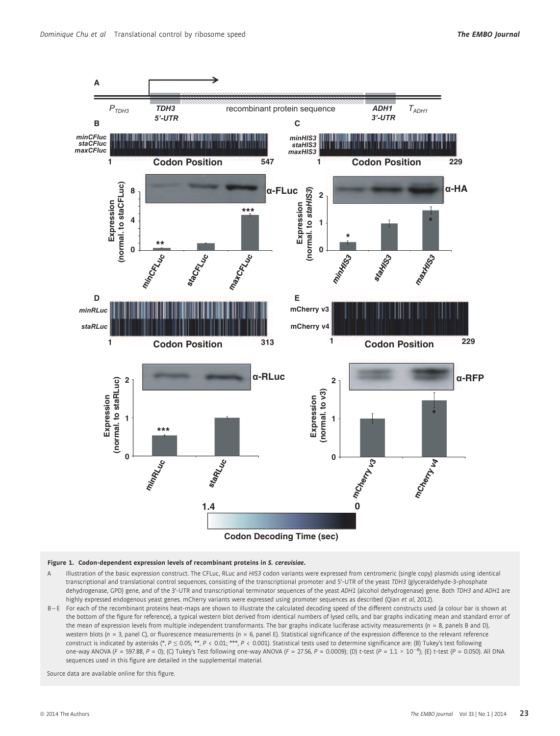

#### Figure 1. Codon-dependent expression levels of recombinant proteins in S. cerevisiae.

- A Illustration of the basic expression construct. The CFLuc, RLuc and HIS3 codon variants were expressed from centromeric (single copy) plasmids using identical transcriptional and translational control sequences, consisting of the transcriptional promoter and 5′-UTR of the yeast TDH3 (glyceraldehyde-3-phosphate dehydrogenase, GPD) gene, and of the 3'-UTR and transcriptional terminator sequences of the yeast ADH1 (alcohol dehydrogenase) gene. Both TDH3 and ADH1 are highly expressed endogenous yeast genes. mCherry variants were expressed using promoter sequences as described (Qian et al, 2012).
- B-E For each of the recombinant proteins heat-maps are shown to illustrate the calculated decoding speed of the different constructs used (a colour bar is shown at the bottom of the figure for reference), a typical western blot derived from identical numbers of lysed cells, and bar graphs indicating mean and standard error of the mean of expression levels from multiple independent transformants. The bar graphs indicate luciferase activity measurements ( $n = 8$ , panels B and D), western blots ( $n = 3$ , panel C), or fluorescence measurements ( $n = 6$ , panel E). Statistical significance of the expression difference to the relevant reference construct is indicated by asterisks (\*, P  $\leq$  0.05; \*\*, P  $\lt$  0.01; \*\*\*, P  $\lt$  0.001). Statistical tests used to determine significance are: (B) Tukey's test following one-way ANOVA (F = 597.88, P = 0); (C) Tukey's Test following one-way ANOVA (F = 27.56, P = 0.0009); (D) t-test (P = 1.1  $\times$  10<sup>-8</sup>); (E) t-test (P = 0.050). All DNA sequences used in this figure are detailed in the supplemental material.

Source data are available online for this figure.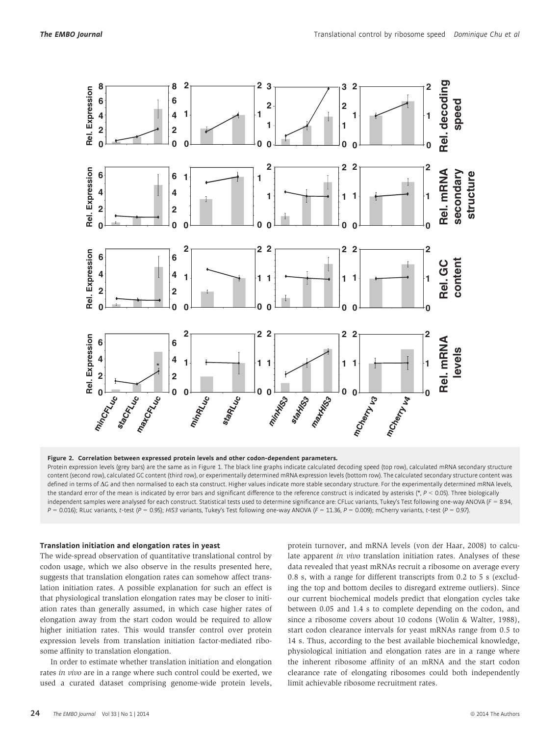

Figure 2. Correlation between expressed protein levels and other codon-dependent parameters.

Protein expression levels (grey bars) are the same as in Figure 1. The black line graphs indicate calculated decoding speed (top row), calculated mRNA secondary structure content (second row), calculated GC content (third row), or experimentally determined mRNA expression levels (bottom row). The calculated secondary structure content was defined in terms of  $\Delta G$  and then normalised to each sta construct. Higher values indicate more stable secondary structure. For the experimentally determined mRNA levels, the standard error of the mean is indicated by error bars and significant difference to the reference construct is indicated by asterisks (\*,  $P < 0.05$ ). Three biologically independent samples were analysed for each construct. Statistical tests used to determine significance are: CFLuc variants, Tukey's Test following one-way ANOVA (F = 8.94,  $P = 0.016$ ; RLuc variants, t-test (P = 0.95); HIS3 variants, Tukey's Test following one-way ANOVA (F = 11.36, P = 0.009); mCherry variants, t-test (P = 0.97).

#### Translation initiation and elongation rates in yeast

The wide-spread observation of quantitative translational control by codon usage, which we also observe in the results presented here, suggests that translation elongation rates can somehow affect translation initiation rates. A possible explanation for such an effect is that physiological translation elongation rates may be closer to initiation rates than generally assumed, in which case higher rates of elongation away from the start codon would be required to allow higher initiation rates. This would transfer control over protein expression levels from translation initiation factor-mediated ribosome affinity to translation elongation.

In order to estimate whether translation initiation and elongation rates *in vivo* are in a range where such control could be exerted, we used a curated dataset comprising genome-wide protein levels,

protein turnover, and mRNA levels (von der Haar, 2008) to calculate apparent *in vivo* translation initiation rates. Analyses of these data revealed that yeast mRNAs recruit a ribosome on average every 0.8 s, with a range for different transcripts from 0.2 to 5 s (excluding the top and bottom deciles to disregard extreme outliers). Since our current biochemical models predict that elongation cycles take between 0.05 and 1.4 s to complete depending on the codon, and since a ribosome covers about 10 codons (Wolin & Walter, 1988), start codon clearance intervals for yeast mRNAs range from 0.5 to 14 s. Thus, according to the best available biochemical knowledge, physiological initiation and elongation rates are in a range where the inherent ribosome affinity of an mRNA and the start codon clearance rate of elongating ribosomes could both independently limit achievable ribosome recruitment rates.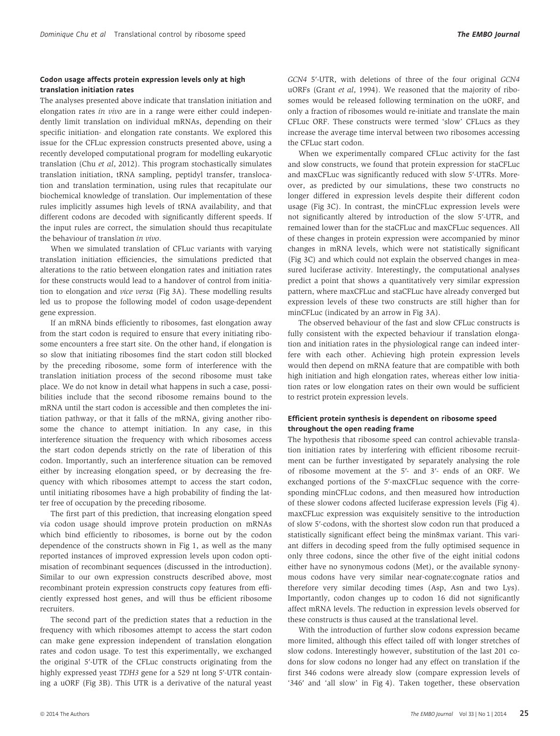#### Codon usage affects protein expression levels only at high translation initiation rates

The analyses presented above indicate that translation initiation and elongation rates *in vivo* are in a range were either could independently limit translation on individual mRNAs, depending on their specific initiation- and elongation rate constants. We explored this issue for the CFLuc expression constructs presented above, using a recently developed computational program for modelling eukaryotic translation (Chu *et al*, 2012). This program stochastically simulates translation initiation, tRNA sampling, peptidyl transfer, translocation and translation termination, using rules that recapitulate our biochemical knowledge of translation. Our implementation of these rules implicitly assumes high levels of tRNA availability, and that different codons are decoded with significantly different speeds. If the input rules are correct, the simulation should thus recapitulate the behaviour of translation *in vivo*.

When we simulated translation of CFLuc variants with varying translation initiation efficiencies, the simulations predicted that alterations to the ratio between elongation rates and initiation rates for these constructs would lead to a handover of control from initiation to elongation and *vice versa* (Fig 3A). These modelling results led us to propose the following model of codon usage-dependent gene expression.

If an mRNA binds efficiently to ribosomes, fast elongation away from the start codon is required to ensure that every initiating ribosome encounters a free start site. On the other hand, if elongation is so slow that initiating ribosomes find the start codon still blocked by the preceding ribosome, some form of interference with the translation initiation process of the second ribosome must take place. We do not know in detail what happens in such a case, possibilities include that the second ribosome remains bound to the mRNA until the start codon is accessible and then completes the initiation pathway, or that it falls of the mRNA, giving another ribosome the chance to attempt initiation. In any case, in this interference situation the frequency with which ribosomes access the start codon depends strictly on the rate of liberation of this codon. Importantly, such an interference situation can be removed either by increasing elongation speed, or by decreasing the frequency with which ribosomes attempt to access the start codon, until initiating ribosomes have a high probability of finding the latter free of occupation by the preceding ribosome.

The first part of this prediction, that increasing elongation speed via codon usage should improve protein production on mRNAs which bind efficiently to ribosomes, is borne out by the codon dependence of the constructs shown in Fig 1, as well as the many reported instances of improved expression levels upon codon optimisation of recombinant sequences (discussed in the introduction). Similar to our own expression constructs described above, most recombinant protein expression constructs copy features from efficiently expressed host genes, and will thus be efficient ribosome recruiters.

The second part of the prediction states that a reduction in the frequency with which ribosomes attempt to access the start codon can make gene expression independent of translation elongation rates and codon usage. To test this experimentally, we exchanged the original 5′-UTR of the CFLuc constructs originating from the highly expressed yeast *TDH3* gene for a 529 nt long 5′-UTR containing a uORF (Fig 3B). This UTR is a derivative of the natural yeast

*GCN4* 5′-UTR, with deletions of three of the four original *GCN4* uORFs (Grant *et al*, 1994). We reasoned that the majority of ribosomes would be released following termination on the uORF, and only a fraction of ribosomes would re-initiate and translate the main CFLuc ORF. These constructs were termed 'slow' CFLucs as they increase the average time interval between two ribosomes accessing the CFLuc start codon.

When we experimentally compared CFLuc activity for the fast and slow constructs, we found that protein expression for staCFLuc and maxCFLuc was significantly reduced with slow 5′-UTRs. Moreover, as predicted by our simulations, these two constructs no longer differed in expression levels despite their different codon usage (Fig 3C). In contrast, the minCFLuc expression levels were not significantly altered by introduction of the slow 5′-UTR, and remained lower than for the staCFLuc and maxCFLuc sequences. All of these changes in protein expression were accompanied by minor changes in mRNA levels, which were not statistically significant (Fig 3C) and which could not explain the observed changes in measured luciferase activity. Interestingly, the computational analyses predict a point that shows a quantitatively very similar expression pattern, where maxCFLuc and staCFLuc have already converged but expression levels of these two constructs are still higher than for minCFLuc (indicated by an arrow in Fig 3A).

The observed behaviour of the fast and slow CFLuc constructs is fully consistent with the expected behaviour if translation elongation and initiation rates in the physiological range can indeed interfere with each other. Achieving high protein expression levels would then depend on mRNA feature that are compatible with both high initiation and high elongation rates, whereas either low initiation rates or low elongation rates on their own would be sufficient to restrict protein expression levels.

#### Efficient protein synthesis is dependent on ribosome speed throughout the open reading frame

The hypothesis that ribosome speed can control achievable translation initiation rates by interfering with efficient ribosome recruitment can be further investigated by separately analysing the role of ribosome movement at the 5′- and 3′- ends of an ORF. We exchanged portions of the 5′-maxCFLuc sequence with the corresponding minCFLuc codons, and then measured how introduction of these slower codons affected luciferase expression levels (Fig 4). maxCFLuc expression was exquisitely sensitive to the introduction of slow 5′-codons, with the shortest slow codon run that produced a statistically significant effect being the min8max variant. This variant differs in decoding speed from the fully optimised sequence in only three codons, since the other five of the eight initial codons either have no synonymous codons (Met), or the available synonymous codons have very similar near-cognate:cognate ratios and therefore very similar decoding times (Asp, Asn and two Lys). Importantly, codon changes up to codon 16 did not significantly affect mRNA levels. The reduction in expression levels observed for these constructs is thus caused at the translational level.

With the introduction of further slow codons expression became more limited, although this effect tailed off with longer stretches of slow codons. Interestingly however, substitution of the last 201 codons for slow codons no longer had any effect on translation if the first 346 codons were already slow (compare expression levels of '346′ and 'all slow' in Fig 4). Taken together, these observation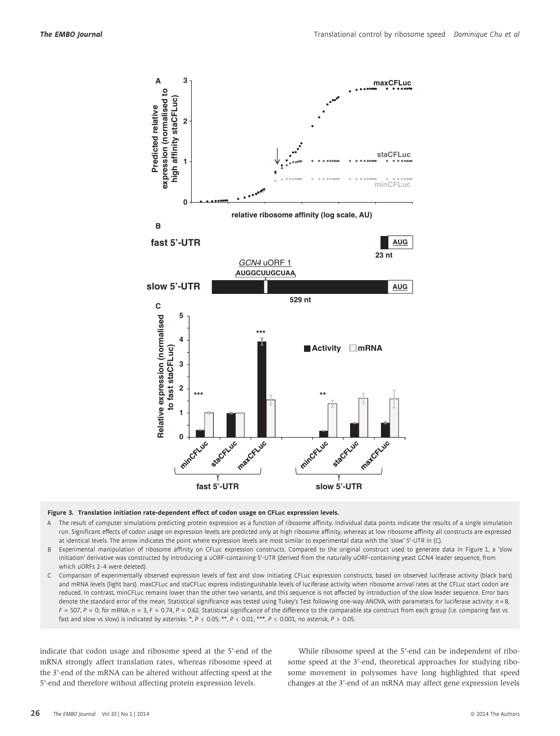

#### Figure 3. Translation initiation rate-dependent effect of codon usage on CFLuc expression levels.

- A The result of computer simulations predicting protein expression as a function of ribosome affinity. Individual data points indicate the results of a single simulation run. Significant effects of codon usage on expression levels are predicted only at high ribosome affinity, whereas at low ribosome affinity all constructs are expressed at identical levels. The arrow indicates the point where expression levels are most similar to experimental data with the 'slow' 5′-UTR in (C).
- Experimental manipulation of ribosome affinity on CFLuc expression constructs. Compared to the original construct used to generate data in Figure 1, a 'slow initiation' derivative was constructed by introducing a uORF-containing 5′-UTR (derived from the naturally uORF-containing yeast GCN4 leader sequence, from which uORFs 2–4 were deleted).
- C Comparison of experimentally observed expression levels of fast and slow initiating CFLuc expression constructs, based on observed luciferase activity (black bars) and mRNA levels (light bars). maxCFLuc and staCFLuc express indistinguishable levels of luciferase activity when ribosome arrival rates at the CFLuc start codon are reduced. In contrast, minCFLuc remains lower than the other two variants, and this sequence is not affected by introduction of the slow leader sequence. Error bars denote the standard error of the mean. Statistical significance was tested using Tukey's Test following one-way ANOVA, with parameters for luciferase activity:  $n = 8$ ,  $F = 507$ ,  $P = 0$ ; for mRNA:  $n = 3$ ,  $F = 0.74$ ,  $P = 0.62$ . Statistical significance of the difference to the comparable sta construct from each group (i.e. comparing fast vs fast and slow vs slow) is indicated by asterisks: \*, P < 0.05; \*\*, P < 0.01; \*\*\*, P < 0.001, no asterisk, P > 0.05.

indicate that codon usage and ribosome speed at the 5′-end of the mRNA strongly affect translation rates, whereas ribosome speed at the 3′-end of the mRNA can be altered without affecting speed at the 5′-end and therefore without affecting protein expression levels.

While ribosome speed at the 5′-end can be independent of ribosome speed at the 3′-end, theoretical approaches for studying ribosome movement in polysomes have long highlighted that speed changes at the 3′-end of an mRNA may affect gene expression levels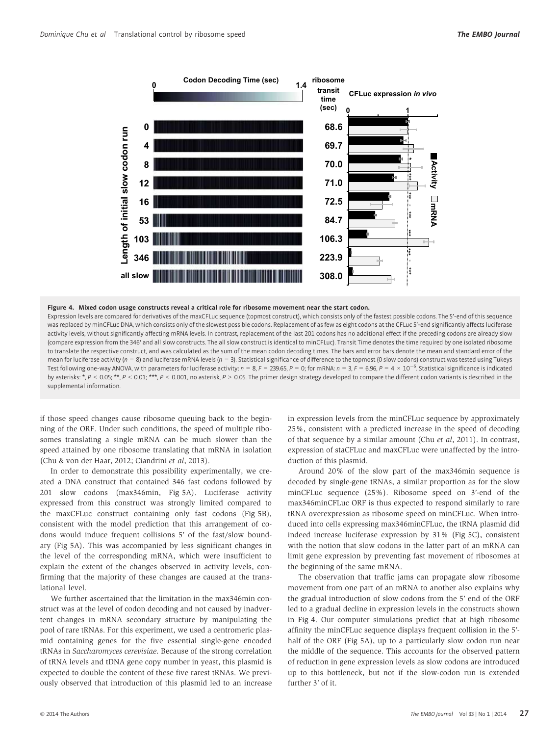

Figure 4. Mixed codon usage constructs reveal a critical role for ribosome movement near the start codon.

Expression levels are compared for derivatives of the maxCFLuc sequence (topmost construct), which consists only of the fastest possible codons. The 5′-end of this sequence was replaced by minCFLuc DNA, which consists only of the slowest possible codons. Replacement of as few as eight codons at the CFLuc 5'-end significantly affects luciferase activity levels, without significantly affecting mRNA levels. In contrast, replacement of the last 201 codons has no additional effect if the preceding codons are already slow (compare expression from the 346′ and all slow constructs. The all slow construct is identical to minCFLuc). Transit Time denotes the time required by one isolated ribosome to translate the respective construct, and was calculated as the sum of the mean codon decoding times. The bars and error bars denote the mean and standard error of the mean for luciferase activity ( $n = 8$ ) and luciferase mRNA levels ( $n = 3$ ). Statistical significance of difference to the topmost (0 slow codons) construct was tested using Tukeys Test following one-way ANOVA, with parameters for luciferase activity:  $n = 8$ ,  $F = 239.65$ ,  $P = 0$ ; for mRNA:  $n = 3$ ,  $F = 6.96$ ,  $P = 4 \times 10^{-6}$ . Statistical significance is indicated by asterisks: \*,  $P < 0.05$ ; \*\*,  $P < 0.01$ ; \*\*\*,  $P < 0.001$ , no asterisk,  $P > 0.05$ . The primer design strategy developed to compare the different codon variants is described in the supplemental information.

if those speed changes cause ribosome queuing back to the beginning of the ORF. Under such conditions, the speed of multiple ribosomes translating a single mRNA can be much slower than the speed attained by one ribosome translating that mRNA in isolation (Chu & von der Haar, 2012; Ciandrini *et al*, 2013).

In order to demonstrate this possibility experimentally, we created a DNA construct that contained 346 fast codons followed by 201 slow codons (max346min, Fig 5A). Luciferase activity expressed from this construct was strongly limited compared to the maxCFLuc construct containing only fast codons (Fig 5B), consistent with the model prediction that this arrangement of codons would induce frequent collisions 5′ of the fast/slow boundary (Fig 5A). This was accompanied by less significant changes in the level of the corresponding mRNA, which were insufficient to explain the extent of the changes observed in activity levels, confirming that the majority of these changes are caused at the translational level.

We further ascertained that the limitation in the max346min construct was at the level of codon decoding and not caused by inadvertent changes in mRNA secondary structure by manipulating the pool of rare tRNAs. For this experiment, we used a centromeric plasmid containing genes for the five essential single-gene encoded tRNAs in *Saccharomyces cerevisiae*. Because of the strong correlation of tRNA levels and tDNA gene copy number in yeast, this plasmid is expected to double the content of these five rarest tRNAs. We previously observed that introduction of this plasmid led to an increase in expression levels from the minCFLuc sequence by approximately 25%, consistent with a predicted increase in the speed of decoding of that sequence by a similar amount (Chu *et al*, 2011). In contrast, expression of staCFLuc and maxCFLuc were unaffected by the introduction of this plasmid.

Around 20% of the slow part of the max346min sequence is decoded by single-gene tRNAs, a similar proportion as for the slow minCFLuc sequence (25%). Ribosome speed on 3′-end of the max346minCFLuc ORF is thus expected to respond similarly to rare tRNA overexpression as ribosome speed on minCFLuc. When introduced into cells expressing max346minCFLuc, the tRNA plasmid did indeed increase luciferase expression by 31% (Fig 5C), consistent with the notion that slow codons in the latter part of an mRNA can limit gene expression by preventing fast movement of ribosomes at the beginning of the same mRNA.

The observation that traffic jams can propagate slow ribosome movement from one part of an mRNA to another also explains why the gradual introduction of slow codons from the 5′ end of the ORF led to a gradual decline in expression levels in the constructs shown in Fig 4. Our computer simulations predict that at high ribosome affinity the minCFLuc sequence displays frequent collision in the 5′ half of the ORF (Fig 5A), up to a particularly slow codon run near the middle of the sequence. This accounts for the observed pattern of reduction in gene expression levels as slow codons are introduced up to this bottleneck, but not if the slow-codon run is extended further 3′ of it.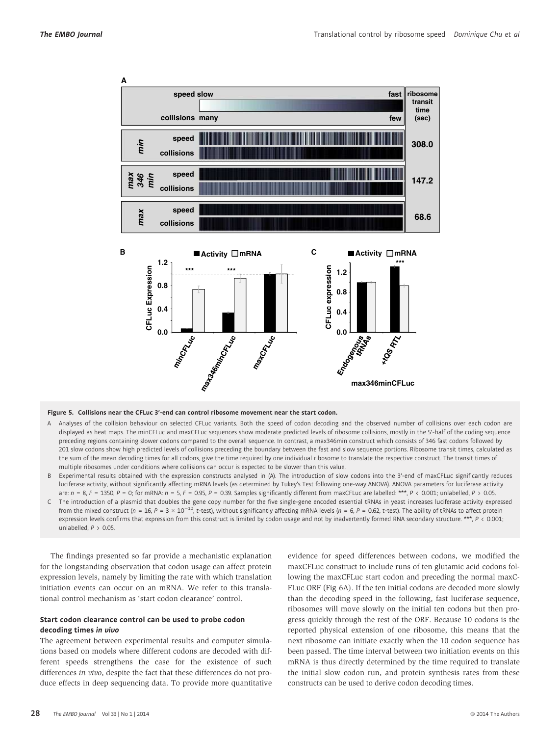

#### Figure 5. Collisions near the CFLuc 3′-end can control ribosome movement near the start codon.

- A Analyses of the collision behaviour on selected CFLuc variants. Both the speed of codon decoding and the observed number of collisions over each codon are displayed as heat maps. The minCFLuc and maxCFLuc sequences show moderate predicted levels of ribosome collisions, mostly in the 5'-half of the coding sequence preceding regions containing slower codons compared to the overall sequence. In contrast, a max346min construct which consists of 346 fast codons followed by 201 slow codons show high predicted levels of collisions preceding the boundary between the fast and slow sequence portions. Ribosome transit times, calculated as the sum of the mean decoding times for all codons, give the time required by one individual ribosome to translate the respective construct. The transit times of multiple ribosomes under conditions where collisions can occur is expected to be slower than this value.
- Experimental results obtained with the expression constructs analysed in (A). The introduction of slow codons into the 3'-end of maxCFLuc significantly reduces luciferase activity, without significantly affecting mRNA levels (as determined by Tukey's Test following one-way ANOVA). ANOVA parameters for luciferase activity are:  $n = 8$ ,  $F = 1350$ ,  $P = 0$ ; for mRNA:  $n = 5$ ,  $F = 0.95$ ,  $P = 0.39$ . Samples significantly different from maxCFLuc are labelled: \*\*\*,  $P \lt 0.001$ ; unlabelled,  $P \gt 0.05$ .
- C The introduction of a plasmid that doubles the gene copy number for the five single-gene encoded essential tRNAs in yeast increases luciferase activity expressed from the mixed construct (n = 16, P = 3 × 10<sup>-10</sup>, t-test), without significantly affecting mRNA levels (n = 6, P = 0.62, t-test). The ability of tRNAs to affect protein expression levels confirms that expression from this construct is limited by codon usage and not by inadvertently formed RNA secondary structure. \*\*\*, P < 0.001; unlabelled,  $P > 0.05$ .

The findings presented so far provide a mechanistic explanation for the longstanding observation that codon usage can affect protein expression levels, namely by limiting the rate with which translation initiation events can occur on an mRNA. We refer to this translational control mechanism as 'start codon clearance' control.

#### Start codon clearance control can be used to probe codon decoding times in vivo

The agreement between experimental results and computer simulations based on models where different codons are decoded with different speeds strengthens the case for the existence of such differences *in vivo*, despite the fact that these differences do not produce effects in deep sequencing data. To provide more quantitative

evidence for speed differences between codons, we modified the maxCFLuc construct to include runs of ten glutamic acid codons following the maxCFLuc start codon and preceding the normal maxC-FLuc ORF (Fig 6A). If the ten initial codons are decoded more slowly than the decoding speed in the following, fast luciferase sequence, ribosomes will move slowly on the initial ten codons but then progress quickly through the rest of the ORF. Because 10 codons is the reported physical extension of one ribosome, this means that the next ribosome can initiate exactly when the 10 codon sequence has been passed. The time interval between two initiation events on this mRNA is thus directly determined by the time required to translate the initial slow codon run, and protein synthesis rates from these constructs can be used to derive codon decoding times.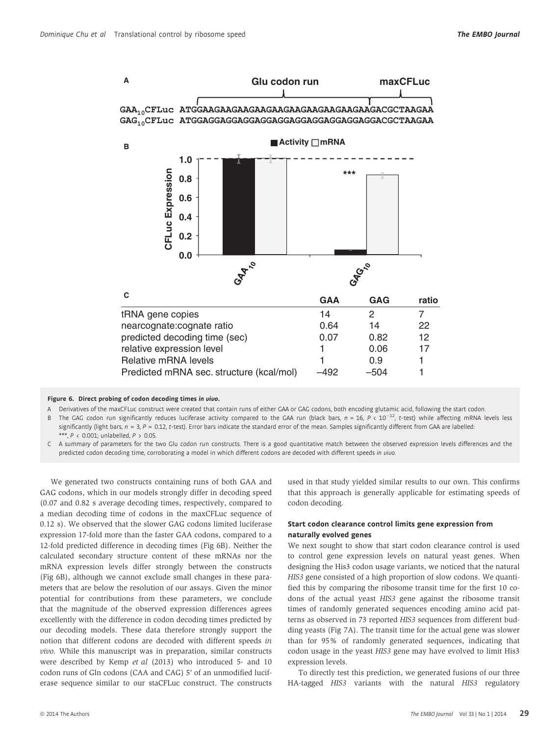

#### Figure 6. Direct probing of codon decoding times in vivo.

A Derivatives of the maxCFLuc construct were created that contain runs of either GAA or GAG codons, both encoding glutamic acid, following the start codon.

B The GAG codon run significantly reduces luciferase activity compared to the GAA run (black bars,  $n = 16$ ,  $P < 10^{-12}$ , t-test) while affecting mRNA levels less significantly (light bars,  $n = 3$ ,  $P = 0.12$ , t-test). Error bars indicate the standard error of the mean. Samples significantly different from GAA are labelled: \*\*\*,  $P$  < 0.001; unlabelled,  $P$  > 0.05.

C A summary of parameters for the two Glu codon run constructs. There is a good quantitative match between the observed expression levels differences and the predicted codon decoding time, corroborating a model in which different codons are decoded with different speeds in vivo.

We generated two constructs containing runs of both GAA and GAG codons, which in our models strongly differ in decoding speed (0.07 and 0.82 s average decoding times, respectively, compared to a median decoding time of codons in the maxCFLuc sequence of 0.12 s). We observed that the slower GAG codons limited luciferase expression 17-fold more than the faster GAA codons, compared to a 12-fold predicted difference in decoding times (Fig 6B). Neither the calculated secondary structure content of these mRNAs nor the mRNA expression levels differ strongly between the constructs (Fig 6B), although we cannot exclude small changes in these parameters that are below the resolution of our assays. Given the minor potential for contributions from these parameters, we conclude that the magnitude of the observed expression differences agrees excellently with the difference in codon decoding times predicted by our decoding models. These data therefore strongly support the notion that different codons are decoded with different speeds *in vivo*. While this manuscript was in preparation, similar constructs were described by Kemp *et al* (2013) who introduced 5- and 10 codon runs of Gln codons (CAA and CAG) 5′ of an unmodified luciferase sequence similar to our staCFLuc construct. The constructs used in that study yielded similar results to our own. This confirms that this approach is generally applicable for estimating speeds of codon decoding.

#### Start codon clearance control limits gene expression from naturally evolved genes

We next sought to show that start codon clearance control is used to control gene expression levels on natural yeast genes. When designing the His3 codon usage variants, we noticed that the natural *HIS3* gene consisted of a high proportion of slow codons. We quantified this by comparing the ribosome transit time for the first 10 codons of the actual yeast *HIS3* gene against the ribosome transit times of randomly generated sequences encoding amino acid patterns as observed in 73 reported *HIS3* sequences from different budding yeasts (Fig 7A). The transit time for the actual gene was slower than for 95% of randomly generated sequences, indicating that codon usage in the yeast *HIS3* gene may have evolved to limit His3 expression levels.

To directly test this prediction, we generated fusions of our three HA-tagged *HIS3* variants with the natural *HIS3* regulatory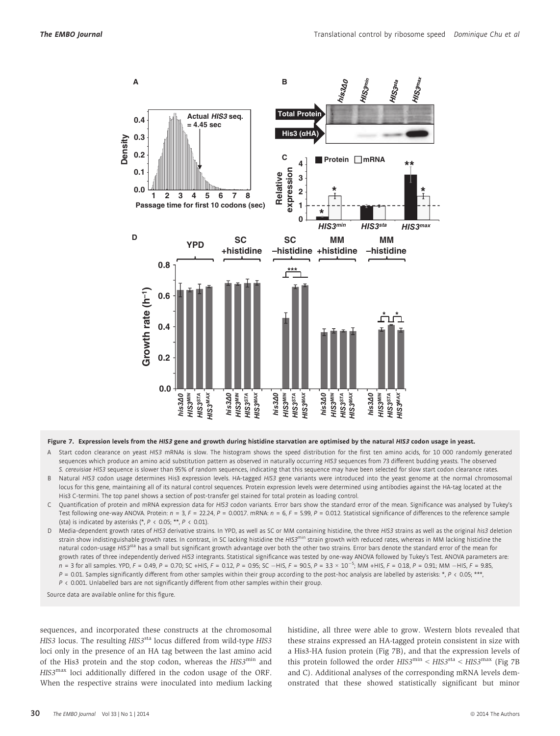

#### Figure 7. Expression levels from the HIS3 gene and growth during histidine starvation are optimised by the natural HIS3 codon usage in yeast.

- A Start codon clearance on yeast HIS3 mRNAs is slow. The histogram shows the speed distribution for the first ten amino acids, for 10 000 randomly generated sequences which produce an amino acid substitution pattern as observed in naturally occurring HIS3 sequences from 73 different budding yeasts. The observed S. cerevisiae HIS3 sequence is slower than 95% of random sequences, indicating that this sequence may have been selected for slow start codon clearance rates.
- B Natural HIS3 codon usage determines His3 expression levels. HA-tagged HIS3 gene variants were introduced into the yeast genome at the normal chromosomal locus for this gene, maintaining all of its natural control sequences. Protein expression levels were determined using antibodies against the HA-tag located at the His3 C-termini. The top panel shows a section of post-transfer gel stained for total protein as loading control.
- C Quantification of protein and mRNA expression data for HIS3 codon variants. Error bars show the standard error of the mean. Significance was analysed by Tukey's Test following one-way ANOVA. Protein:  $n = 3$ ,  $F = 22.24$ ,  $P = 0.0017$ . mRNA:  $n = 6$ ,  $F = 5.99$ ,  $P = 0.012$ . Statistical significance of differences to the reference sample (sta) is indicated by asterisks ( $*$ ,  $P$  < 0.05;  $**$ ,  $P$  < 0.01).
- D Media-dependent growth rates of HIS3 derivative strains. In YPD, as well as SC or MM containing histidine, the three HIS3 strains as well as the original his3 deletion strain show indistinguishable growth rates. In contrast, in SC lacking histidine the HIS3<sup>min</sup> strain growth with reduced rates, whereas in MM lacking histidine the natural codon-usage HIS3<sup>sta</sup> has a small but significant growth advantage over both the other two strains. Error bars denote the standard error of the mean for growth rates of three independently derived HIS3 integrants. Statistical significance was tested by one-way ANOVA followed by Tukey's Test. ANOVA parameters are:  $\overline{n}$  = 3 for all samples. YPD, F = 0.49, P = 0.70; SC +HIS, F = 0.12, P = 0.95; SC  $-$ HIS, F = 9.05, P = 3.3 × 10<sup>-5</sup>; MM +HIS, F = 0.18, P = 0.91; MM  $-$ HIS, F = 9.85,  $P = 0.01$ . Samples significantly different from other samples within their group according to the post-hoc analysis are labelled by asterisks: \*, P < 0.05; \*\*\*,
	- P < 0.001. Unlabelled bars are not significantly different from other samples within their group.

Source data are available online for this figure.

sequences, and incorporated these constructs at the chromosomal *HIS3* locus. The resulting *HIS3*sta locus differed from wild-type *HIS3* loci only in the presence of an HA tag between the last amino acid of the His3 protein and the stop codon, whereas the *HIS3*min and *HIS3*max loci additionally differed in the codon usage of the ORF. When the respective strains were inoculated into medium lacking histidine, all three were able to grow. Western blots revealed that these strains expressed an HA-tagged protein consistent in size with a His3-HA fusion protein (Fig 7B), and that the expression levels of this protein followed the order  $HIS3^{\text{min}} < HIS3^{\text{sta}} < HIS3^{\text{max}}$  (Fig 7B) and C). Additional analyses of the corresponding mRNA levels demonstrated that these showed statistically significant but minor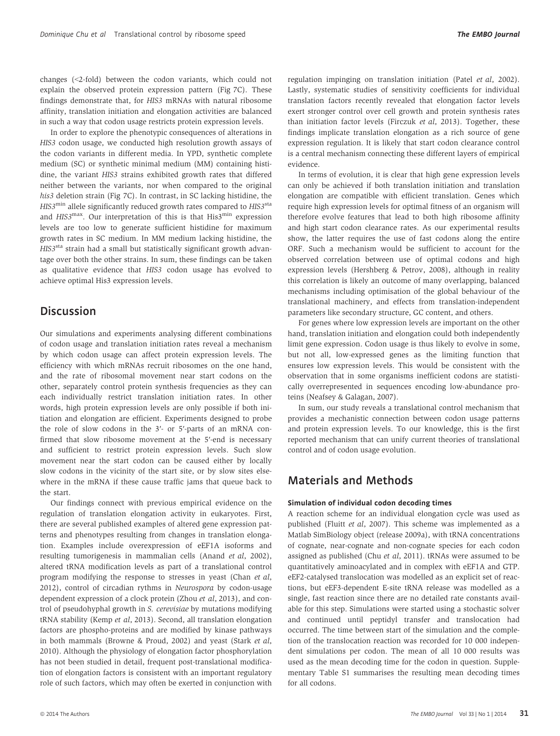changes (<2-fold) between the codon variants, which could not explain the observed protein expression pattern (Fig 7C). These findings demonstrate that, for *HIS3* mRNAs with natural ribosome affinity, translation initiation and elongation activities are balanced in such a way that codon usage restricts protein expression levels.

In order to explore the phenotypic consequences of alterations in *HIS3* codon usage, we conducted high resolution growth assays of the codon variants in different media. In YPD, synthetic complete medium (SC) or synthetic minimal medium (MM) containing histidine, the variant *HIS3* strains exhibited growth rates that differed neither between the variants, nor when compared to the original *his3* deletion strain (Fig 7C). In contrast, in SC lacking histidine, the *HIS3*min allele significantly reduced growth rates compared to *HIS3*sta and *HIS3<sup>max</sup>*. Our interpretation of this is that His3<sup>min</sup> expression levels are too low to generate sufficient histidine for maximum growth rates in SC medium. In MM medium lacking histidine, the *HIS3*sta strain had a small but statistically significant growth advantage over both the other strains. In sum, these findings can be taken as qualitative evidence that *HIS3* codon usage has evolved to achieve optimal His3 expression levels.

### **Discussion**

Our simulations and experiments analysing different combinations of codon usage and translation initiation rates reveal a mechanism by which codon usage can affect protein expression levels. The efficiency with which mRNAs recruit ribosomes on the one hand, and the rate of ribosomal movement near start codons on the other, separately control protein synthesis frequencies as they can each individually restrict translation initiation rates. In other words, high protein expression levels are only possible if both initiation and elongation are efficient. Experiments designed to probe the role of slow codons in the 3′- or 5′-parts of an mRNA confirmed that slow ribosome movement at the 5′-end is necessary and sufficient to restrict protein expression levels. Such slow movement near the start codon can be caused either by locally slow codons in the vicinity of the start site, or by slow sites elsewhere in the mRNA if these cause traffic jams that queue back to the start.

Our findings connect with previous empirical evidence on the regulation of translation elongation activity in eukaryotes. First, there are several published examples of altered gene expression patterns and phenotypes resulting from changes in translation elongation. Examples include overexpression of eEF1A isoforms and resulting tumorigenesis in mammalian cells (Anand *et al*, 2002), altered tRNA modification levels as part of a translational control program modifying the response to stresses in yeast (Chan *et al*, 2012), control of circadian rythms in *Neurospora* by codon-usage dependent expression of a clock protein (Zhou *et al*, 2013), and control of pseudohyphal growth in *S. cerevisiae* by mutations modifying tRNA stability (Kemp *et al*, 2013). Second, all translation elongation factors are phospho-proteins and are modified by kinase pathways in both mammals (Browne & Proud, 2002) and yeast (Stark *et al*, 2010). Although the physiology of elongation factor phosphorylation has not been studied in detail, frequent post-translational modification of elongation factors is consistent with an important regulatory role of such factors, which may often be exerted in conjunction with regulation impinging on translation initiation (Patel *et al*, 2002). Lastly, systematic studies of sensitivity coefficients for individual translation factors recently revealed that elongation factor levels exert stronger control over cell growth and protein synthesis rates than initiation factor levels (Firczuk *et al*, 2013). Together, these findings implicate translation elongation as a rich source of gene expression regulation. It is likely that start codon clearance control is a central mechanism connecting these different layers of empirical evidence.

In terms of evolution, it is clear that high gene expression levels can only be achieved if both translation initiation and translation elongation are compatible with efficient translation. Genes which require high expression levels for optimal fitness of an organism will therefore evolve features that lead to both high ribosome affinity and high start codon clearance rates. As our experimental results show, the latter requires the use of fast codons along the entire ORF. Such a mechanism would be sufficient to account for the observed correlation between use of optimal codons and high expression levels (Hershberg & Petrov, 2008), although in reality this correlation is likely an outcome of many overlapping, balanced mechanisms including optimisation of the global behaviour of the translational machinery, and effects from translation-independent parameters like secondary structure, GC content, and others.

For genes where low expression levels are important on the other hand, translation initiation and elongation could both independently limit gene expression. Codon usage is thus likely to evolve in some, but not all, low-expressed genes as the limiting function that ensures low expression levels. This would be consistent with the observation that in some organisms inefficient codons are statistically overrepresented in sequences encoding low-abundance proteins (Neafsey & Galagan, 2007).

In sum, our study reveals a translational control mechanism that provides a mechanistic connection between codon usage patterns and protein expression levels. To our knowledge, this is the first reported mechanism that can unify current theories of translational control and of codon usage evolution.

# Materials and Methods

#### Simulation of individual codon decoding times

A reaction scheme for an individual elongation cycle was used as published (Fluitt *et al*, 2007). This scheme was implemented as a Matlab SimBiology object (release 2009a), with tRNA concentrations of cognate, near-cognate and non-cognate species for each codon assigned as published (Chu *et al*, 2011). tRNAs were assumed to be quantitatively aminoacylated and in complex with eEF1A and GTP. eEF2-catalysed translocation was modelled as an explicit set of reactions, but eEF3-dependent E-site tRNA release was modelled as a single, fast reaction since there are no detailed rate constants available for this step. Simulations were started using a stochastic solver and continued until peptidyl transfer and translocation had occurred. The time between start of the simulation and the completion of the translocation reaction was recorded for 10 000 independent simulations per codon. The mean of all 10 000 results was used as the mean decoding time for the codon in question. Supplementary Table S1 summarises the resulting mean decoding times for all codons.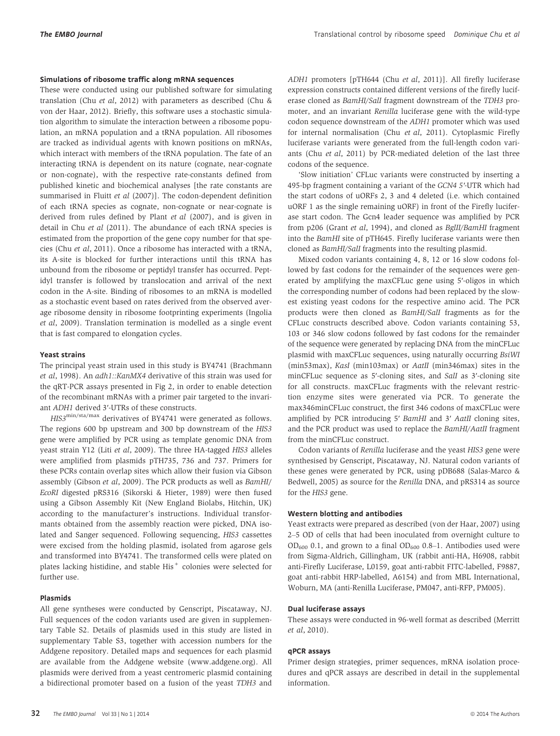#### Simulations of ribosome traffic along mRNA sequences

These were conducted using our published software for simulating translation (Chu *et al*, 2012) with parameters as described (Chu & von der Haar, 2012). Briefly, this software uses a stochastic simulation algorithm to simulate the interaction between a ribosome population, an mRNA population and a tRNA population. All ribosomes are tracked as individual agents with known positions on mRNAs, which interact with members of the tRNA population. The fate of an interacting tRNA is dependent on its nature (cognate, near-cognate or non-cognate), with the respective rate-constants defined from published kinetic and biochemical analyses [the rate constants are summarised in Fluitt *et al* (2007)]. The codon-dependent definition of each tRNA species as cognate, non-cognate or near-cognate is derived from rules defined by Plant *et al* (2007), and is given in detail in Chu *et al* (2011). The abundance of each tRNA species is estimated from the proportion of the gene copy number for that species (Chu *et al*, 2011). Once a ribosome has interacted with a tRNA, its A-site is blocked for further interactions until this tRNA has unbound from the ribosome or peptidyl transfer has occurred. Peptidyl transfer is followed by translocation and arrival of the next codon in the A-site. Binding of ribosomes to an mRNA is modelled as a stochastic event based on rates derived from the observed average ribosome density in ribosome footprinting experiments (Ingolia *et al*, 2009). Translation termination is modelled as a single event that is fast compared to elongation cycles.

#### Yeast strains

The principal yeast strain used in this study is BY4741 (Brachmann *et al*, 1998). An *adh1::KanMX4* derivative of this strain was used for the qRT-PCR assays presented in Fig 2, in order to enable detection of the recombinant mRNAs with a primer pair targeted to the invariant *ADH1* derived 3′-UTRs of these constructs.

*HIS3*min/sta/max derivatives of BY4741 were generated as follows. The regions 600 bp upstream and 300 bp downstream of the *HIS3* gene were amplified by PCR using as template genomic DNA from yeast strain Y12 (Liti *et al*, 2009). The three HA-tagged *HIS3* alleles were amplified from plasmids pTH735, 736 and 737. Primers for these PCRs contain overlap sites which allow their fusion via Gibson assembly (Gibson *et al*, 2009). The PCR products as well as *BamHI*/ *EcoRI* digested pRS316 (Sikorski & Hieter, 1989) were then fused using a Gibson Assembly Kit (New England Biolabs, Hitchin, UK) according to the manufacturer's instructions. Individual transformants obtained from the assembly reaction were picked, DNA isolated and Sanger sequenced. Following sequencing, *HIS3* cassettes were excised from the holding plasmid, isolated from agarose gels and transformed into BY4741. The transformed cells were plated on plates lacking histidine, and stable  $His<sup>+</sup>$  colonies were selected for further use.

#### Plasmids

All gene syntheses were conducted by Genscript, Piscataway, NJ. Full sequences of the codon variants used are given in supplementary Table S2. Details of plasmids used in this study are listed in supplementary Table S3, together with accession numbers for the Addgene repository. Detailed maps and sequences for each plasmid are available from the Addgene website (www.addgene.org). All plasmids were derived from a yeast centromeric plasmid containing a bidirectional promoter based on a fusion of the yeast *TDH3* and *ADH1* promoters [pTH644 (Chu *et al*, 2011)]. All firefly luciferase expression constructs contained different versions of the firefly luciferase cloned as *BamHI/SalI* fragment downstream of the *TDH3* promoter, and an invariant *Renilla* luciferase gene with the wild-type codon sequence downstream of the *ADH1* promoter which was used for internal normalisation (Chu *et al*, 2011). Cytoplasmic Firefly luciferase variants were generated from the full-length codon variants (Chu *et al*, 2011) by PCR-mediated deletion of the last three codons of the sequence.

'Slow initiation' CFLuc variants were constructed by inserting a 495-bp fragment containing a variant of the *GCN4 5*′*-*UTR which had the start codons of uORFs 2, 3 and 4 deleted (i.e. which contained uORF 1 as the single remaining uORF) in front of the Firefly luciferase start codon. The Gcn4 leader sequence was amplified by PCR from p206 (Grant *et al*, 1994), and cloned as *BglII/BamHI* fragment into the *BamHI* site of pTH645. Firefly luciferase variants were then cloned as *BamHI/SalI* fragments into the resulting plasmid.

Mixed codon variants containing 4, 8, 12 or 16 slow codons followed by fast codons for the remainder of the sequences were generated by amplifying the maxCFLuc gene using 5′-oligos in which the corresponding number of codons had been replaced by the slowest existing yeast codons for the respective amino acid. The PCR products were then cloned as *BamHI/SalI* fragments as for the CFLuc constructs described above. Codon variants containing 53, 103 or 346 slow codons followed by fast codons for the remainder of the sequence were generated by replacing DNA from the minCFLuc plasmid with maxCFLuc sequences, using naturally occurring *BsiWI* (min53max), *KasI* (min103max) or *AatII* (min346max) sites in the minCFLuc sequence as 5′-cloning sites, and *SalI* as 3′-cloning site for all constructs. maxCFLuc fragments with the relevant restriction enzyme sites were generated via PCR. To generate the max346minCFLuc construct, the first 346 codons of maxCFLuc were amplified by PCR introducing 5′ *BamHI* and 3′ *AatII* cloning sites, and the PCR product was used to replace the *BamHI/AatII* fragment from the minCFLuc construct.

Codon variants of *Renilla* luciferase and the yeast *HIS3* gene were synthesised by Genscript, Piscataway, NJ. Natural codon variants of these genes were generated by PCR, using pDB688 (Salas-Marco & Bedwell, 2005) as source for the *Renilla* DNA, and pRS314 as source for the *HIS3* gene.

#### Western blotting and antibodies

Yeast extracts were prepared as described (von der Haar, 2007) using 2–5 OD of cells that had been inoculated from overnight culture to  $OD_{600}$  0.1, and grown to a final  $OD_{600}$  0.8–1. Antibodies used were from Sigma-Aldrich, Gillingham, UK (rabbit anti-HA, H6908, rabbit anti-Firefly Luciferase, L0159, goat anti-rabbit FITC-labelled, F9887, goat anti-rabbit HRP-labelled, A6154) and from MBL International, Woburn, MA (anti-Renilla Luciferase, PM047, anti-RFP, PM005).

#### Dual luciferase assays

These assays were conducted in 96-well format as described (Merritt *et al*, 2010).

#### qPCR assays

Primer design strategies, primer sequences, mRNA isolation procedures and qPCR assays are described in detail in the supplemental information.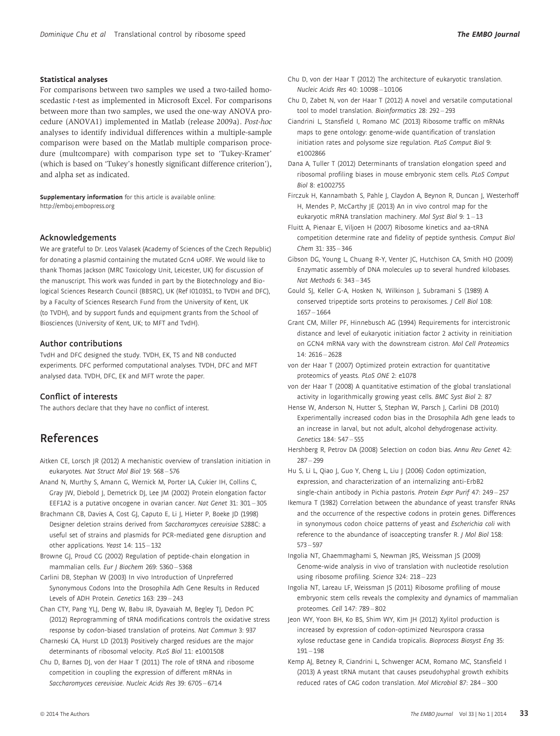#### Statistical analyses

For comparisons between two samples we used a two-tailed homoscedastic *t*-test as implemented in Microsoft Excel. For comparisons between more than two samples, we used the one-way ANOVA procedure (ANOVA1) implemented in Matlab (release 2009a). *Post-hoc* analyses to identify individual differences within a multiple-sample comparison were based on the Matlab multiple comparison procedure (multcompare) with comparison type set to 'Tukey-Kramer' (which is based on 'Tukey's honestly significant difference criterion'), and alpha set as indicated.

Supplementary information for this article is available online: http://emboj.embopress.org

#### Acknowledgements

We are grateful to Dr. Leos Valasek (Academy of Sciences of the Czech Republic) for donating a plasmid containing the mutated Gcn4 uORF. We would like to thank Thomas Jackson (MRC Toxicology Unit, Leicester, UK) for discussion of the manuscript. This work was funded in part by the Biotechnology and Biological Sciences Research Council (BBSRC), UK (Ref I010351, to TVDH and DFC), by a Faculty of Sciences Research Fund from the University of Kent, UK (to TVDH), and by support funds and equipment grants from the School of Biosciences (University of Kent, UK; to MFT and TvdH).

#### Author contributions

TvdH and DFC designed the study. TVDH, EK, TS and NB conducted experiments. DFC performed computational analyses. TVDH, DFC and MFT analysed data. TVDH, DFC, EK and MFT wrote the paper.

#### Conflict of interests

The authors declare that they have no conflict of interest.

# References

- Aitken CE, Lorsch JR (2012) A mechanistic overview of translation initiation in eukaryotes. Nat Struct Mol Biol 19: 568 – 576
- Anand N, Murthy S, Amann G, Wernick M, Porter LA, Cukier IH, Collins C, Gray JW, Diebold J, Demetrick DJ, Lee JM (2002) Protein elongation factor EEF1A2 is a putative oncogene in ovarian cancer. Nat Genet 31: 301 – 305
- Brachmann CB, Davies A, Cost GJ, Caputo E, Li J, Hieter P, Boeke JD (1998) Designer deletion strains derived from Saccharomyces cerevisiae S288C: a useful set of strains and plasmids for PCR-mediated gene disruption and other applications. Yeast 14: 115 – 132
- Browne GJ, Proud CG (2002) Regulation of peptide-chain elongation in mammalian cells. Eur J Biochem 269: 5360 – 5368
- Carlini DB, Stephan W (2003) In vivo Introduction of Unpreferred Synonymous Codons Into the Drosophila Adh Gene Results in Reduced Levels of ADH Protein. Genetics 163: 239 – 243
- Chan CTY, Pang YLJ, Deng W, Babu IR, Dyavaiah M, Begley TJ, Dedon PC (2012) Reprogramming of tRNA modifications controls the oxidative stress response by codon-biased translation of proteins. Nat Commun 3: 937
- Charneski CA, Hurst LD (2013) Positively charged residues are the major determinants of ribosomal velocity. PLoS Biol 11: e1001508
- Chu D, Barnes DJ, von der Haar T (2011) The role of tRNA and ribosome competition in coupling the expression of different mRNAs in Saccharomyces cerevisiae. Nucleic Acids Res 39: 6705 – 6714
- Chu D, von der Haar T (2012) The architecture of eukaryotic translation. Nucleic Acids Res 40: 10098 – 10106
- Chu D, Zabet N, von der Haar T (2012) A novel and versatile computational tool to model translation. Bioinformatics 28: 292 – 293
- Ciandrini L, Stansfield I, Romano MC (2013) Ribosome traffic on mRNAs maps to gene ontology: genome-wide quantification of translation initiation rates and polysome size regulation. PLoS Comput Biol 9: e1002866
- Dana A, Tuller T (2012) Determinants of translation elongation speed and ribosomal profiling biases in mouse embryonic stem cells. PLoS Comput Biol 8: e1002755
- Firczuk H, Kannambath S, Pahle J, Claydon A, Beynon R, Duncan J, Westerhoff H, Mendes P, McCarthy JE (2013) An in vivo control map for the eukaryotic mRNA translation machinery. Mol Syst Biol 9: 1-13
- Fluitt A, Pienaar E, Viljoen H (2007) Ribosome kinetics and aa-tRNA competition determine rate and fidelity of peptide synthesis. Comput Biol  $Chem$  31: 335 – 346
- Gibson DG, Young L, Chuang R-Y, Venter JC, Hutchison CA, Smith HO (2009) Enzymatic assembly of DNA molecules up to several hundred kilobases. Nat Methods 6: 343 – 345
- Gould SJ, Keller G-A, Hosken N, Wilkinson J, Subramani S (1989) A conserved tripeptide sorts proteins to peroxisomes. J Cell Biol 108: 1657 – 1664
- Grant CM, Miller PF, Hinnebusch AG (1994) Requirements for intercistronic distance and level of eukaryotic initiation factor 2 activity in reinitiation on GCN4 mRNA vary with the downstream cistron. Mol Cell Proteomics  $14.2616 - 2628$
- von der Haar T (2007) Optimized protein extraction for quantitative proteomics of yeasts. PLoS ONE 2: e1078
- von der Haar T (2008) A quantitative estimation of the global translational activity in logarithmically growing yeast cells. BMC Syst Biol 2: 87
- Hense W, Anderson N, Hutter S, Stephan W, Parsch J, Carlini DB (2010) Experimentally increased codon bias in the Drosophila Adh gene leads to an increase in larval, but not adult, alcohol dehydrogenase activity. Genetics 184: 547 – 555
- Hershberg R, Petrov DA (2008) Selection on codon bias. Annu Rev Genet 42: 287 – 299
- Hu S, Li L, Qiao J, Guo Y, Cheng L, Liu J (2006) Codon optimization, expression, and characterization of an internalizing anti-ErbB2 single-chain antibody in Pichia pastoris. Protein Expr Purif 47: 249 – 257
- Ikemura T (1982) Correlation between the abundance of yeast transfer RNAs and the occurrence of the respective codons in protein genes. Differences in synonymous codon choice patterns of yeast and Escherichia coli with reference to the abundance of isoaccepting transfer R. *J Mol Biol* 158: 573 – 597
- Ingolia NT, Ghaemmaghami S, Newman JRS, Weissman JS (2009) Genome-wide analysis in vivo of translation with nucleotide resolution using ribosome profiling. Science 324: 218 – 223
- Ingolia NT, Lareau LF, Weissman JS (2011) Ribosome profiling of mouse embryonic stem cells reveals the complexity and dynamics of mammalian proteomes. Cell 147: 789 – 802
- Jeon WY, Yoon BH, Ko BS, Shim WY, Kim JH (2012) Xylitol production is increased by expression of codon-optimized Neurospora crassa xylose reductase gene in Candida tropicalis. Bioprocess Biosyst Eng 35:  $191 - 198$
- Kemp AJ, Betney R, Ciandrini L, Schwenger ACM, Romano MC, Stansfield I (2013) A yeast tRNA mutant that causes pseudohyphal growth exhibits reduced rates of CAG codon translation. Mol Microbiol 87: 284 – 300